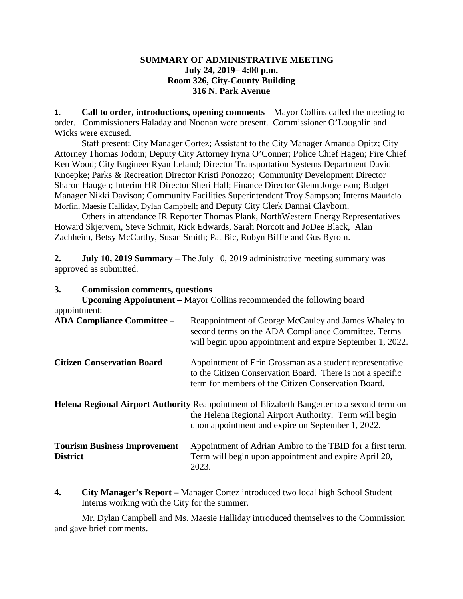## **SUMMARY OF ADMINISTRATIVE MEETING July 24, 2019– 4:00 p.m. Room 326, City-County Building 316 N. Park Avenue**

**1. Call to order, introductions, opening comments** – Mayor Collins called the meeting to order. Commissioners Haladay and Noonan were present. Commissioner O'Loughlin and Wicks were excused.

Staff present: City Manager Cortez; Assistant to the City Manager Amanda Opitz; City Attorney Thomas Jodoin; Deputy City Attorney Iryna O'Conner; Police Chief Hagen; Fire Chief Ken Wood; City Engineer Ryan Leland; Director Transportation Systems Department David Knoepke; Parks & Recreation Director Kristi Ponozzo; Community Development Director Sharon Haugen; Interim HR Director Sheri Hall; Finance Director Glenn Jorgenson; Budget Manager Nikki Davison; Community Facilities Superintendent Troy Sampson; Interns Mauricio Morfin, Maesie Halliday, Dylan Campbell; and Deputy City Clerk Dannai Clayborn.

Others in attendance IR Reporter Thomas Plank, NorthWestern Energy Representatives Howard Skjervem, Steve Schmit, Rick Edwards, Sarah Norcott and JoDee Black, Alan Zachheim, Betsy McCarthy, Susan Smith; Pat Bic, Robyn Biffle and Gus Byrom.

**2. July 10, 2019 Summary** – The July 10, 2019 administrative meeting summary was approved as submitted.

# **3. Commission comments, questions Upcoming Appointment –** Mayor Collins recommended the following board appointment: **ADA Compliance Committee –** Reappointment of George McCauley and James Whaley to second terms on the ADA Compliance Committee. Terms will begin upon appointment and expire September 1, 2022. **Citizen Conservation Board** Appointment of Erin Grossman as a student representative to the Citizen Conservation Board. There is not a specific term for members of the Citizen Conservation Board. **Helena Regional Airport Authority** Reappointment of Elizabeth Bangerter to a second term on the Helena Regional Airport Authority. Term will begin upon appointment and expire on September 1, 2022. **Tourism Business Improvement** Appointment of Adrian Ambro to the TBID for a first term. **District** Term will begin upon appointment and expire April 20, 2023.

**4. City Manager's Report –** Manager Cortez introduced two local high School Student Interns working with the City for the summer.

Mr. Dylan Campbell and Ms. Maesie Halliday introduced themselves to the Commission and gave brief comments.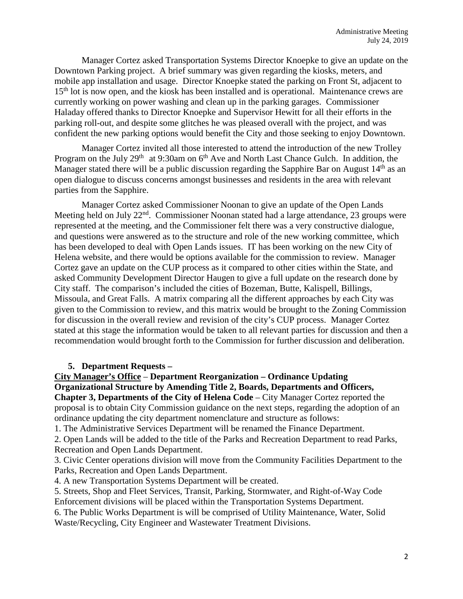Manager Cortez asked Transportation Systems Director Knoepke to give an update on the Downtown Parking project. A brief summary was given regarding the kiosks, meters, and mobile app installation and usage. Director Knoepke stated the parking on Front St, adjacent to 15<sup>th</sup> lot is now open, and the kiosk has been installed and is operational. Maintenance crews are currently working on power washing and clean up in the parking garages. Commissioner Haladay offered thanks to Director Knoepke and Supervisor Hewitt for all their efforts in the parking roll-out, and despite some glitches he was pleased overall with the project, and was confident the new parking options would benefit the City and those seeking to enjoy Downtown.

Manager Cortez invited all those interested to attend the introduction of the new Trolley Program on the July  $29<sup>th</sup>$  at 9:30am on  $6<sup>th</sup>$  Ave and North Last Chance Gulch. In addition, the Manager stated there will be a public discussion regarding the Sapphire Bar on August  $14<sup>th</sup>$  as an open dialogue to discuss concerns amongst businesses and residents in the area with relevant parties from the Sapphire.

Manager Cortez asked Commissioner Noonan to give an update of the Open Lands Meeting held on July 22<sup>nd</sup>. Commissioner Noonan stated had a large attendance, 23 groups were represented at the meeting, and the Commissioner felt there was a very constructive dialogue, and questions were answered as to the structure and role of the new working committee, which has been developed to deal with Open Lands issues. IT has been working on the new City of Helena website, and there would be options available for the commission to review. Manager Cortez gave an update on the CUP process as it compared to other cities within the State, and asked Community Development Director Haugen to give a full update on the research done by City staff. The comparison's included the cities of Bozeman, Butte, Kalispell, Billings, Missoula, and Great Falls. A matrix comparing all the different approaches by each City was given to the Commission to review, and this matrix would be brought to the Zoning Commission for discussion in the overall review and revision of the city's CUP process. Manager Cortez stated at this stage the information would be taken to all relevant parties for discussion and then a recommendation would brought forth to the Commission for further discussion and deliberation.

## **5. Department Requests –**

## **City Manager's Office** – **Department Reorganization – Ordinance Updating Organizational Structure by Amending Title 2, Boards, Departments and Officers,**

**Chapter 3, Departments of the City of Helena Code** – City Manager Cortez reported the proposal is to obtain City Commission guidance on the next steps, regarding the adoption of an ordinance updating the city department nomenclature and structure as follows:

1. The Administrative Services Department will be renamed the Finance Department.

2. Open Lands will be added to the title of the Parks and Recreation Department to read Parks, Recreation and Open Lands Department.

3. Civic Center operations division will move from the Community Facilities Department to the Parks, Recreation and Open Lands Department.

4. A new Transportation Systems Department will be created.

5. Streets, Shop and Fleet Services, Transit, Parking, Stormwater, and Right-of-Way Code Enforcement divisions will be placed within the Transportation Systems Department.

6. The Public Works Department is will be comprised of Utility Maintenance, Water, Solid Waste/Recycling, City Engineer and Wastewater Treatment Divisions.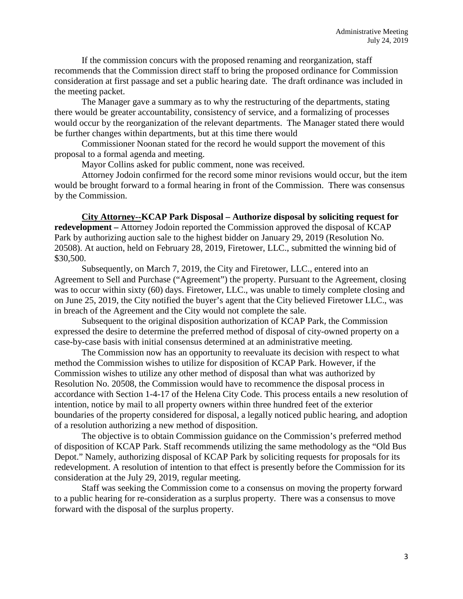If the commission concurs with the proposed renaming and reorganization, staff recommends that the Commission direct staff to bring the proposed ordinance for Commission consideration at first passage and set a public hearing date. The draft ordinance was included in the meeting packet.

The Manager gave a summary as to why the restructuring of the departments, stating there would be greater accountability, consistency of service, and a formalizing of processes would occur by the reorganization of the relevant departments. The Manager stated there would be further changes within departments, but at this time there would

Commissioner Noonan stated for the record he would support the movement of this proposal to a formal agenda and meeting.

Mayor Collins asked for public comment, none was received.

Attorney Jodoin confirmed for the record some minor revisions would occur, but the item would be brought forward to a formal hearing in front of the Commission. There was consensus by the Commission.

**City Attorney--KCAP Park Disposal – Authorize disposal by soliciting request for redevelopment –** Attorney Jodoin reported the Commission approved the disposal of KCAP Park by authorizing auction sale to the highest bidder on January 29, 2019 (Resolution No. 20508). At auction, held on February 28, 2019, Firetower, LLC., submitted the winning bid of \$30,500.

Subsequently, on March 7, 2019, the City and Firetower, LLC., entered into an Agreement to Sell and Purchase ("Agreement") the property. Pursuant to the Agreement, closing was to occur within sixty (60) days. Firetower, LLC., was unable to timely complete closing and on June 25, 2019, the City notified the buyer's agent that the City believed Firetower LLC., was in breach of the Agreement and the City would not complete the sale.

Subsequent to the original disposition authorization of KCAP Park, the Commission expressed the desire to determine the preferred method of disposal of city-owned property on a case-by-case basis with initial consensus determined at an administrative meeting.

The Commission now has an opportunity to reevaluate its decision with respect to what method the Commission wishes to utilize for disposition of KCAP Park. However, if the Commission wishes to utilize any other method of disposal than what was authorized by Resolution No. 20508, the Commission would have to recommence the disposal process in accordance with Section 1-4-17 of the Helena City Code. This process entails a new resolution of intention, notice by mail to all property owners within three hundred feet of the exterior boundaries of the property considered for disposal, a legally noticed public hearing, and adoption of a resolution authorizing a new method of disposition.

The objective is to obtain Commission guidance on the Commission's preferred method of disposition of KCAP Park. Staff recommends utilizing the same methodology as the "Old Bus Depot." Namely, authorizing disposal of KCAP Park by soliciting requests for proposals for its redevelopment. A resolution of intention to that effect is presently before the Commission for its consideration at the July 29, 2019, regular meeting.

Staff was seeking the Commission come to a consensus on moving the property forward to a public hearing for re-consideration as a surplus property. There was a consensus to move forward with the disposal of the surplus property.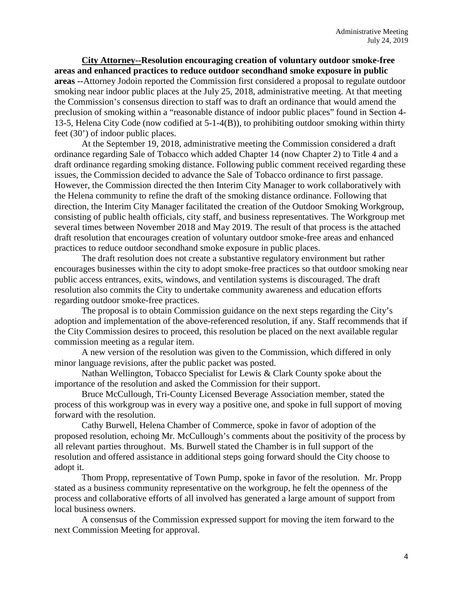**City Attorney--Resolution encouraging creation of voluntary outdoor smoke-free areas and enhanced practices to reduce outdoor secondhand smoke exposure in public areas --**Attorney Jodoin reported the Commission first considered a proposal to regulate outdoor smoking near indoor public places at the July 25, 2018, administrative meeting. At that meeting the Commission's consensus direction to staff was to draft an ordinance that would amend the preclusion of smoking within a "reasonable distance of indoor public places" found in Section 4- 13-5, Helena City Code (now codified at 5-1-4(B)), to prohibiting outdoor smoking within thirty feet (30') of indoor public places.

At the September 19, 2018, administrative meeting the Commission considered a draft ordinance regarding Sale of Tobacco which added Chapter 14 (now Chapter 2) to Title 4 and a draft ordinance regarding smoking distance. Following public comment received regarding these issues, the Commission decided to advance the Sale of Tobacco ordinance to first passage. However, the Commission directed the then Interim City Manager to work collaboratively with the Helena community to refine the draft of the smoking distance ordinance. Following that direction, the Interim City Manager facilitated the creation of the Outdoor Smoking Workgroup, consisting of public health officials, city staff, and business representatives. The Workgroup met several times between November 2018 and May 2019. The result of that process is the attached draft resolution that encourages creation of voluntary outdoor smoke-free areas and enhanced practices to reduce outdoor secondhand smoke exposure in public places.

The draft resolution does not create a substantive regulatory environment but rather encourages businesses within the city to adopt smoke-free practices so that outdoor smoking near public access entrances, exits, windows, and ventilation systems is discouraged. The draft resolution also commits the City to undertake community awareness and education efforts regarding outdoor smoke-free practices.

The proposal is to obtain Commission guidance on the next steps regarding the City's adoption and implementation of the above-referenced resolution, if any. Staff recommends that if the City Commission desires to proceed, this resolution be placed on the next available regular commission meeting as a regular item.

A new version of the resolution was given to the Commission, which differed in only minor language revisions, after the public packet was posted.

Nathan Wellington, Tobacco Specialist for Lewis & Clark County spoke about the importance of the resolution and asked the Commission for their support.

Bruce McCullough, Tri-County Licensed Beverage Association member, stated the process of this workgroup was in every way a positive one, and spoke in full support of moving forward with the resolution.

Cathy Burwell, Helena Chamber of Commerce, spoke in favor of adoption of the proposed resolution, echoing Mr. McCullough's comments about the positivity of the process by all relevant parties throughout. Ms. Burwell stated the Chamber is in full support of the resolution and offered assistance in additional steps going forward should the City choose to adopt it.

Thom Propp, representative of Town Pump, spoke in favor of the resolution. Mr. Propp stated as a business community representative on the workgroup, he felt the openness of the process and collaborative efforts of all involved has generated a large amount of support from local business owners.

A consensus of the Commission expressed support for moving the item forward to the next Commission Meeting for approval.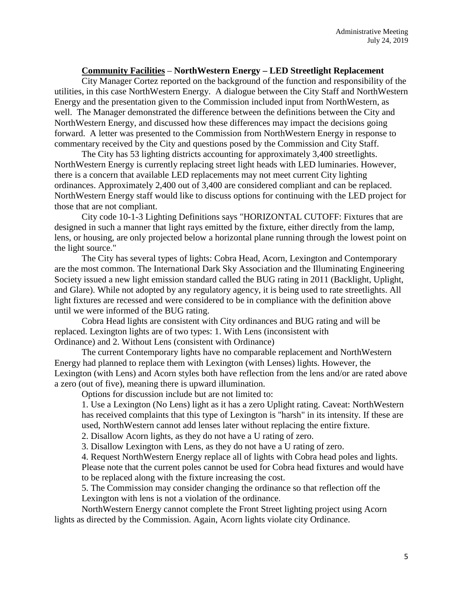## **Community Facilities** – **NorthWestern Energy – LED Streetlight Replacement**

City Manager Cortez reported on the background of the function and responsibility of the utilities, in this case NorthWestern Energy. A dialogue between the City Staff and NorthWestern Energy and the presentation given to the Commission included input from NorthWestern, as well. The Manager demonstrated the difference between the definitions between the City and NorthWestern Energy, and discussed how these differences may impact the decisions going forward. A letter was presented to the Commission from NorthWestern Energy in response to commentary received by the City and questions posed by the Commission and City Staff.

The City has 53 lighting districts accounting for approximately 3,400 streetlights. NorthWestern Energy is currently replacing street light heads with LED luminaries. However, there is a concern that available LED replacements may not meet current City lighting ordinances. Approximately 2,400 out of 3,400 are considered compliant and can be replaced. NorthWestern Energy staff would like to discuss options for continuing with the LED project for those that are not compliant.

City code 10-1-3 Lighting Definitions says "HORIZONTAL CUTOFF: Fixtures that are designed in such a manner that light rays emitted by the fixture, either directly from the lamp, lens, or housing, are only projected below a horizontal plane running through the lowest point on the light source."

The City has several types of lights: Cobra Head, Acorn, Lexington and Contemporary are the most common. The International Dark Sky Association and the Illuminating Engineering Society issued a new light emission standard called the BUG rating in 2011 (Backlight, Uplight, and Glare). While not adopted by any regulatory agency, it is being used to rate streetlights. All light fixtures are recessed and were considered to be in compliance with the definition above until we were informed of the BUG rating.

Cobra Head lights are consistent with City ordinances and BUG rating and will be replaced. Lexington lights are of two types: 1. With Lens (inconsistent with Ordinance) and 2. Without Lens (consistent with Ordinance)

The current Contemporary lights have no comparable replacement and NorthWestern Energy had planned to replace them with Lexington (with Lenses) lights. However, the Lexington (with Lens) and Acorn styles both have reflection from the lens and/or are rated above a zero (out of five), meaning there is upward illumination.

Options for discussion include but are not limited to:

1. Use a Lexington (No Lens) light as it has a zero Uplight rating. Caveat: NorthWestern has received complaints that this type of Lexington is "harsh" in its intensity. If these are used, NorthWestern cannot add lenses later without replacing the entire fixture.

2. Disallow Acorn lights, as they do not have a U rating of zero.

3. Disallow Lexington with Lens, as they do not have a U rating of zero.

4. Request NorthWestern Energy replace all of lights with Cobra head poles and lights. Please note that the current poles cannot be used for Cobra head fixtures and would have to be replaced along with the fixture increasing the cost.

5. The Commission may consider changing the ordinance so that reflection off the Lexington with lens is not a violation of the ordinance.

NorthWestern Energy cannot complete the Front Street lighting project using Acorn lights as directed by the Commission. Again, Acorn lights violate city Ordinance.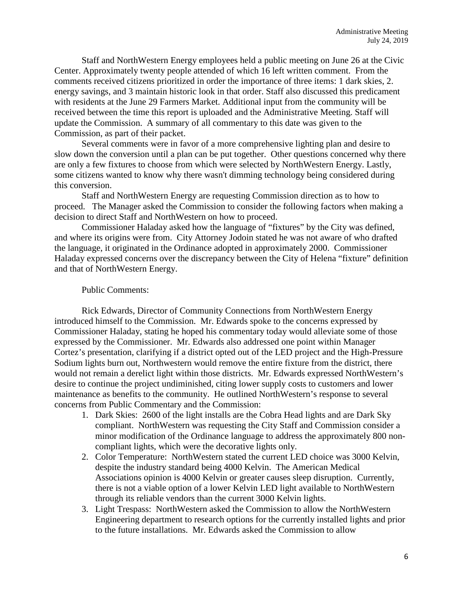Staff and NorthWestern Energy employees held a public meeting on June 26 at the Civic Center. Approximately twenty people attended of which 16 left written comment. From the comments received citizens prioritized in order the importance of three items: 1 dark skies, 2. energy savings, and 3 maintain historic look in that order. Staff also discussed this predicament with residents at the June 29 Farmers Market. Additional input from the community will be received between the time this report is uploaded and the Administrative Meeting. Staff will update the Commission. A summary of all commentary to this date was given to the Commission, as part of their packet.

Several comments were in favor of a more comprehensive lighting plan and desire to slow down the conversion until a plan can be put together. Other questions concerned why there are only a few fixtures to choose from which were selected by NorthWestern Energy. Lastly, some citizens wanted to know why there wasn't dimming technology being considered during this conversion.

Staff and NorthWestern Energy are requesting Commission direction as to how to proceed. The Manager asked the Commission to consider the following factors when making a decision to direct Staff and NorthWestern on how to proceed.

Commissioner Haladay asked how the language of "fixtures" by the City was defined, and where its origins were from. City Attorney Jodoin stated he was not aware of who drafted the language, it originated in the Ordinance adopted in approximately 2000. Commissioner Haladay expressed concerns over the discrepancy between the City of Helena "fixture" definition and that of NorthWestern Energy.

## Public Comments:

Rick Edwards, Director of Community Connections from NorthWestern Energy introduced himself to the Commission. Mr. Edwards spoke to the concerns expressed by Commissioner Haladay, stating he hoped his commentary today would alleviate some of those expressed by the Commissioner. Mr. Edwards also addressed one point within Manager Cortez's presentation, clarifying if a district opted out of the LED project and the High-Pressure Sodium lights burn out, Northwestern would remove the entire fixture from the district, there would not remain a derelict light within those districts. Mr. Edwards expressed NorthWestern's desire to continue the project undiminished, citing lower supply costs to customers and lower maintenance as benefits to the community. He outlined NorthWestern's response to several concerns from Public Commentary and the Commission:

- 1. Dark Skies: 2600 of the light installs are the Cobra Head lights and are Dark Sky compliant. NorthWestern was requesting the City Staff and Commission consider a minor modification of the Ordinance language to address the approximately 800 noncompliant lights, which were the decorative lights only.
- 2. Color Temperature: NorthWestern stated the current LED choice was 3000 Kelvin, despite the industry standard being 4000 Kelvin. The American Medical Associations opinion is 4000 Kelvin or greater causes sleep disruption. Currently, there is not a viable option of a lower Kelvin LED light available to NorthWestern through its reliable vendors than the current 3000 Kelvin lights.
- 3. Light Trespass: NorthWestern asked the Commission to allow the NorthWestern Engineering department to research options for the currently installed lights and prior to the future installations. Mr. Edwards asked the Commission to allow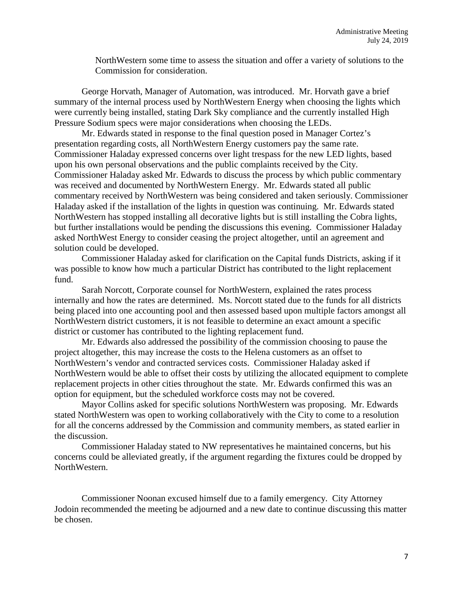NorthWestern some time to assess the situation and offer a variety of solutions to the Commission for consideration.

George Horvath, Manager of Automation, was introduced. Mr. Horvath gave a brief summary of the internal process used by NorthWestern Energy when choosing the lights which were currently being installed, stating Dark Sky compliance and the currently installed High Pressure Sodium specs were major considerations when choosing the LEDs.

Mr. Edwards stated in response to the final question posed in Manager Cortez's presentation regarding costs, all NorthWestern Energy customers pay the same rate. Commissioner Haladay expressed concerns over light trespass for the new LED lights, based upon his own personal observations and the public complaints received by the City. Commissioner Haladay asked Mr. Edwards to discuss the process by which public commentary was received and documented by NorthWestern Energy. Mr. Edwards stated all public commentary received by NorthWestern was being considered and taken seriously. Commissioner Haladay asked if the installation of the lights in question was continuing. Mr. Edwards stated NorthWestern has stopped installing all decorative lights but is still installing the Cobra lights, but further installations would be pending the discussions this evening. Commissioner Haladay asked NorthWest Energy to consider ceasing the project altogether, until an agreement and solution could be developed.

Commissioner Haladay asked for clarification on the Capital funds Districts, asking if it was possible to know how much a particular District has contributed to the light replacement fund.

Sarah Norcott, Corporate counsel for NorthWestern, explained the rates process internally and how the rates are determined. Ms. Norcott stated due to the funds for all districts being placed into one accounting pool and then assessed based upon multiple factors amongst all NorthWestern district customers, it is not feasible to determine an exact amount a specific district or customer has contributed to the lighting replacement fund.

Mr. Edwards also addressed the possibility of the commission choosing to pause the project altogether, this may increase the costs to the Helena customers as an offset to NorthWestern's vendor and contracted services costs. Commissioner Haladay asked if NorthWestern would be able to offset their costs by utilizing the allocated equipment to complete replacement projects in other cities throughout the state. Mr. Edwards confirmed this was an option for equipment, but the scheduled workforce costs may not be covered.

Mayor Collins asked for specific solutions NorthWestern was proposing. Mr. Edwards stated NorthWestern was open to working collaboratively with the City to come to a resolution for all the concerns addressed by the Commission and community members, as stated earlier in the discussion.

Commissioner Haladay stated to NW representatives he maintained concerns, but his concerns could be alleviated greatly, if the argument regarding the fixtures could be dropped by NorthWestern.

Commissioner Noonan excused himself due to a family emergency. City Attorney Jodoin recommended the meeting be adjourned and a new date to continue discussing this matter be chosen.